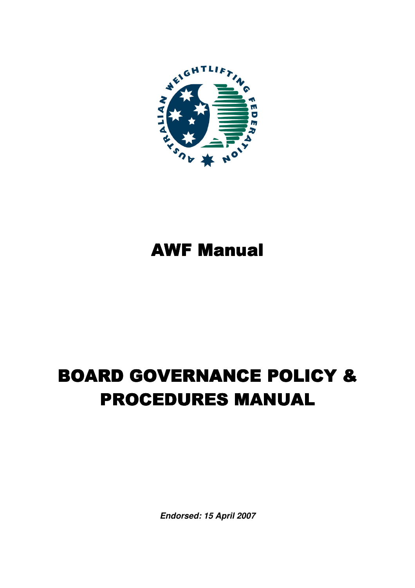

# **AWF Manual**

# **BOARD GOVERNANCE POLICY & PROCEDURES MANUAL**

**Endorsed: 15 April 2007**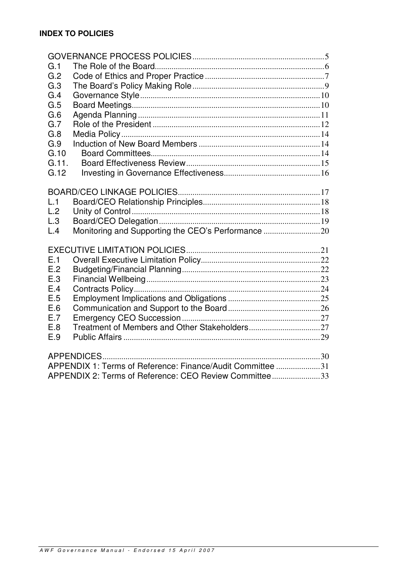| G.1                                                    |                                                            |  |
|--------------------------------------------------------|------------------------------------------------------------|--|
| G.2                                                    |                                                            |  |
| G.3                                                    |                                                            |  |
| G.4                                                    |                                                            |  |
| G.5                                                    |                                                            |  |
| G.6                                                    |                                                            |  |
| G.7                                                    |                                                            |  |
| G.8                                                    |                                                            |  |
| G.9                                                    |                                                            |  |
| G.10                                                   |                                                            |  |
| G.11.                                                  |                                                            |  |
| G.12                                                   |                                                            |  |
|                                                        |                                                            |  |
|                                                        |                                                            |  |
| L.1                                                    |                                                            |  |
| L.2                                                    |                                                            |  |
| L.3                                                    |                                                            |  |
| L.4                                                    |                                                            |  |
|                                                        |                                                            |  |
|                                                        |                                                            |  |
| E.1                                                    |                                                            |  |
| E.2                                                    |                                                            |  |
| E.3                                                    |                                                            |  |
| E.4                                                    |                                                            |  |
| E.5                                                    |                                                            |  |
| E.6                                                    |                                                            |  |
| E.7                                                    |                                                            |  |
| E.8                                                    |                                                            |  |
| E.9                                                    |                                                            |  |
|                                                        |                                                            |  |
|                                                        |                                                            |  |
|                                                        | APPENDIX 1: Terms of Reference: Finance/Audit Committee 31 |  |
| APPENDIX 2: Terms of Reference: CEO Review Committee33 |                                                            |  |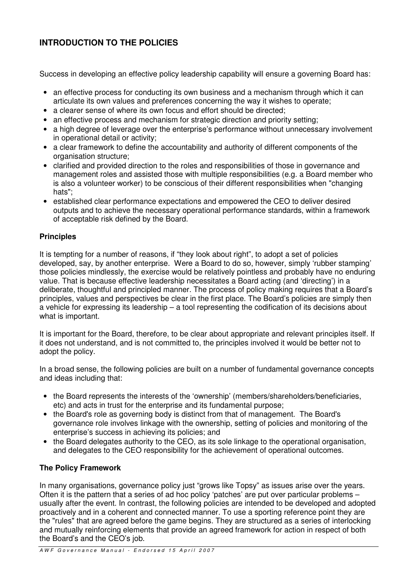#### **INTRODUCTION TO THE POLICIES**

Success in developing an effective policy leadership capability will ensure a governing Board has:

- an effective process for conducting its own business and a mechanism through which it can articulate its own values and preferences concerning the way it wishes to operate;
- a clearer sense of where its own focus and effort should be directed;
- an effective process and mechanism for strategic direction and priority setting;
- a high degree of leverage over the enterprise's performance without unnecessary involvement in operational detail or activity;
- a clear framework to define the accountability and authority of different components of the organisation structure;
- clarified and provided direction to the roles and responsibilities of those in governance and management roles and assisted those with multiple responsibilities (e.g. a Board member who is also a volunteer worker) to be conscious of their different responsibilities when "changing hats";
- established clear performance expectations and empowered the CEO to deliver desired outputs and to achieve the necessary operational performance standards, within a framework of acceptable risk defined by the Board.

#### **Principles**

It is tempting for a number of reasons, if "they look about right", to adopt a set of policies developed, say, by another enterprise. Were a Board to do so, however, simply 'rubber stamping' those policies mindlessly, the exercise would be relatively pointless and probably have no enduring value. That is because effective leadership necessitates a Board acting (and 'directing') in a deliberate, thoughtful and principled manner. The process of policy making requires that a Board's principles, values and perspectives be clear in the first place. The Board's policies are simply then a vehicle for expressing its leadership – a tool representing the codification of its decisions about what is important.

It is important for the Board, therefore, to be clear about appropriate and relevant principles itself. If it does not understand, and is not committed to, the principles involved it would be better not to adopt the policy.

In a broad sense, the following policies are built on a number of fundamental governance concepts and ideas including that:

- the Board represents the interests of the 'ownership' (members/shareholders/beneficiaries, etc) and acts in trust for the enterprise and its fundamental purpose;
- the Board's role as governing body is distinct from that of management. The Board's governance role involves linkage with the ownership, setting of policies and monitoring of the enterprise's success in achieving its policies; and
- the Board delegates authority to the CEO, as its sole linkage to the operational organisation, and delegates to the CEO responsibility for the achievement of operational outcomes.

#### **The Policy Framework**

In many organisations, governance policy just "grows like Topsy" as issues arise over the years. Often it is the pattern that a series of ad hoc policy 'patches' are put over particular problems – usually after the event. In contrast, the following policies are intended to be developed and adopted proactively and in a coherent and connected manner. To use a sporting reference point they are the "rules" that are agreed before the game begins. They are structured as a series of interlocking and mutually reinforcing elements that provide an agreed framework for action in respect of both the Board's and the CEO's job.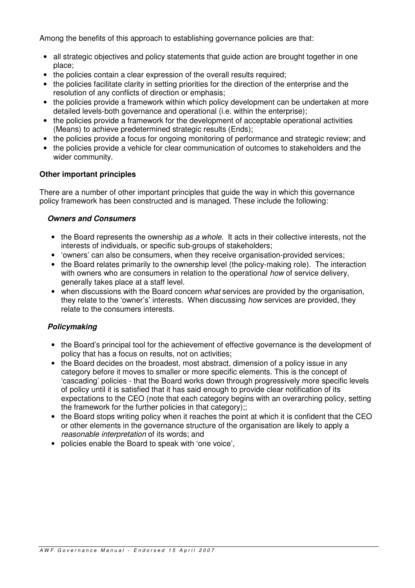Among the benefits of this approach to establishing governance policies are that:

- all strategic objectives and policy statements that guide action are brought together in one place;
- the policies contain a clear expression of the overall results required;
- the policies facilitate clarity in setting priorities for the direction of the enterprise and the resolution of any conflicts of direction or emphasis;
- the policies provide a framework within which policy development can be undertaken at more detailed levels-both governance and operational (i.e. within the enterprise);
- the policies provide a framework for the development of acceptable operational activities (Means) to achieve predetermined strategic results (Ends);
- the policies provide a focus for ongoing monitoring of performance and strategic review; and
- the policies provide a vehicle for clear communication of outcomes to stakeholders and the wider community.

#### **Other important principles**

There are a number of other important principles that guide the way in which this governance policy framework has been constructed and is managed. These include the following:

#### **Owners and Consumers**

- the Board represents the ownership as a whole. It acts in their collective interests, not the interests of individuals, or specific sub-groups of stakeholders;
- 'owners' can also be consumers, when they receive organisation-provided services;
- the Board relates primarily to the ownership level (the policy-making role). The interaction with owners who are consumers in relation to the operational how of service delivery, generally takes place at a staff level.
- when discussions with the Board concern *what* services are provided by the organisation, they relate to the 'owner's' interests. When discussing how services are provided, they relate to the consumers interests.

#### **Policymaking**

- the Board's principal tool for the achievement of effective governance is the development of policy that has a focus on results, not on activities;
- the Board decides on the broadest, most abstract, dimension of a policy issue in any category before it moves to smaller or more specific elements. This is the concept of 'cascading' policies - that the Board works down through progressively more specific levels of policy until it is satisfied that it has said enough to provide clear notification of its expectations to the CEO (note that each category begins with an overarching policy, setting the framework for the further policies in that category);;
- the Board stops writing policy when it reaches the point at which it is confident that the CEO or other elements in the governance structure of the organisation are likely to apply a reasonable interpretation of its words; and
- policies enable the Board to speak with 'one voice',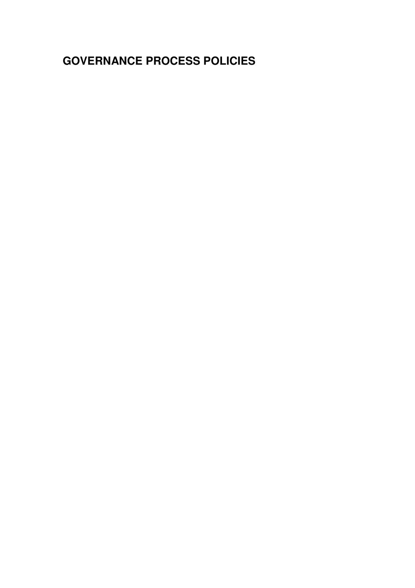# **GOVERNANCE PROCESS POLICIES**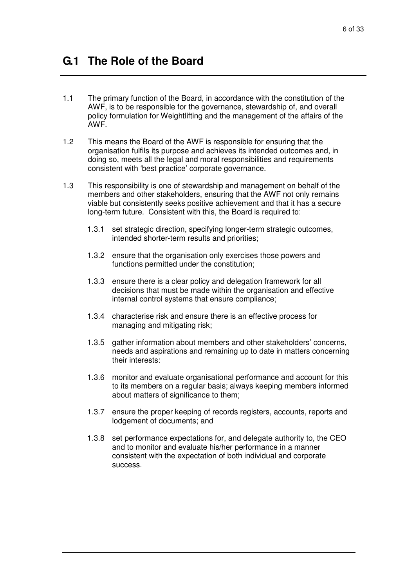- 1.1 The primary function of the Board, in accordance with the constitution of the AWF, is to be responsible for the governance, stewardship of, and overall policy formulation for Weightlifting and the management of the affairs of the AWF.
- 1.2 This means the Board of the AWF is responsible for ensuring that the organisation fulfils its purpose and achieves its intended outcomes and, in doing so, meets all the legal and moral responsibilities and requirements consistent with 'best practice' corporate governance.
- 1.3 This responsibility is one of stewardship and management on behalf of the members and other stakeholders, ensuring that the AWF not only remains viable but consistently seeks positive achievement and that it has a secure long-term future. Consistent with this, the Board is required to:
	- 1.3.1 set strategic direction, specifying longer-term strategic outcomes, intended shorter-term results and priorities;
	- 1.3.2 ensure that the organisation only exercises those powers and functions permitted under the constitution;
	- 1.3.3 ensure there is a clear policy and delegation framework for all decisions that must be made within the organisation and effective internal control systems that ensure compliance;
	- 1.3.4 characterise risk and ensure there is an effective process for managing and mitigating risk;
	- 1.3.5 gather information about members and other stakeholders' concerns, needs and aspirations and remaining up to date in matters concerning their interests:
	- 1.3.6 monitor and evaluate organisational performance and account for this to its members on a regular basis; always keeping members informed about matters of significance to them:
	- 1.3.7 ensure the proper keeping of records registers, accounts, reports and lodgement of documents; and
	- 1.3.8 set performance expectations for, and delegate authority to, the CEO and to monitor and evaluate his/her performance in a manner consistent with the expectation of both individual and corporate success.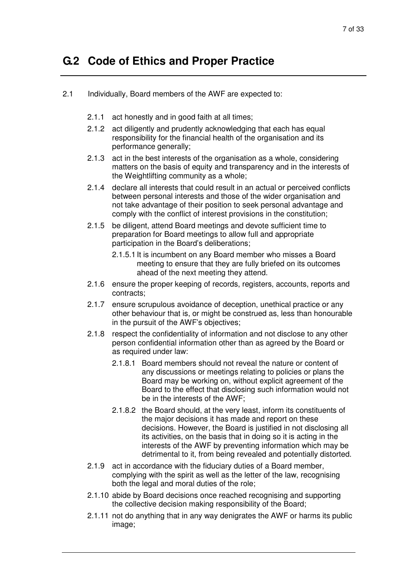### **G.2 Code of Ethics and Proper Practice**

- 2.1 Individually, Board members of the AWF are expected to:
	- 2.1.1 act honestly and in good faith at all times;
	- 2.1.2 act diligently and prudently acknowledging that each has equal responsibility for the financial health of the organisation and its performance generally;
	- 2.1.3 act in the best interests of the organisation as a whole, considering matters on the basis of equity and transparency and in the interests of the Weightlifting community as a whole;
	- 2.1.4 declare all interests that could result in an actual or perceived conflicts between personal interests and those of the wider organisation and not take advantage of their position to seek personal advantage and comply with the conflict of interest provisions in the constitution;
	- 2.1.5 be diligent, attend Board meetings and devote sufficient time to preparation for Board meetings to allow full and appropriate participation in the Board's deliberations;
		- 2.1.5.1 It is incumbent on any Board member who misses a Board meeting to ensure that they are fully briefed on its outcomes ahead of the next meeting they attend.
	- 2.1.6 ensure the proper keeping of records, registers, accounts, reports and contracts;
	- 2.1.7 ensure scrupulous avoidance of deception, unethical practice or any other behaviour that is, or might be construed as, less than honourable in the pursuit of the AWF's objectives;
	- 2.1.8 respect the confidentiality of information and not disclose to any other person confidential information other than as agreed by the Board or as required under law:
		- 2.1.8.1 Board members should not reveal the nature or content of any discussions or meetings relating to policies or plans the Board may be working on, without explicit agreement of the Board to the effect that disclosing such information would not be in the interests of the AWF;
		- 2.1.8.2 the Board should, at the very least, inform its constituents of the major decisions it has made and report on these decisions. However, the Board is justified in not disclosing all its activities, on the basis that in doing so it is acting in the interests of the AWF by preventing information which may be detrimental to it, from being revealed and potentially distorted.
	- 2.1.9 act in accordance with the fiduciary duties of a Board member, complying with the spirit as well as the letter of the law, recognising both the legal and moral duties of the role;
	- 2.1.10 abide by Board decisions once reached recognising and supporting the collective decision making responsibility of the Board;
	- 2.1.11 not do anything that in any way denigrates the AWF or harms its public image;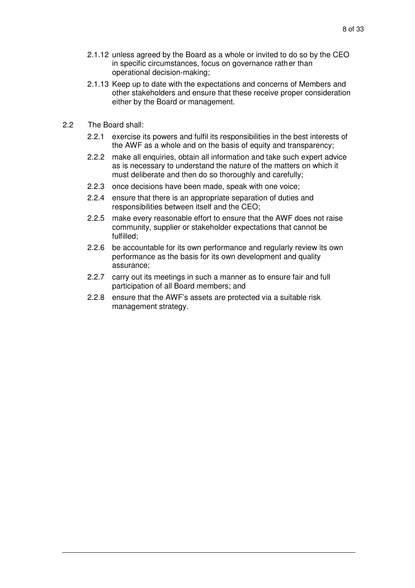- 2.1.12 unless agreed by the Board as a whole or invited to do so by the CEO in specific circumstances, focus on governance rath er than operational decision-making;
- 2.1.13 Keep up to date with the expectations and concerns of Members and other stakeholders and ensure that these receive proper consideration either by the Board or management.
- 2.2 The Board shall:
	- 2.2.1 exercise its powers and fulfil its responsibilities in the best interests of the AWF as a whole and on the basis of equity and transparency;
	- 2.2.2 make all enquiries, obtain all information and take such expert advice as is necessary to understand the nature of the matters on which it must deliberate and then do so thoroughly and carefully;
	- 2.2.3 once decisions have been made, speak with one voice;
	- 2.2.4 ensure that there is an appropriate separation of duties and responsibilities between itself and the CEO;
	- 2.2.5 make every reasonable effort to ensure that the AWF does not raise community, supplier or stakeholder expectations that cannot be fulfilled;
	- 2.2.6 be accountable for its own performance and regularly review its own performance as the basis for its own development and quality assurance;
	- 2.2.7 carry out its meetings in such a manner as to ensure fair and full participation of all Board members; and
	- 2.2.8 ensure that the AWF's assets are protected via a suitable risk management strategy.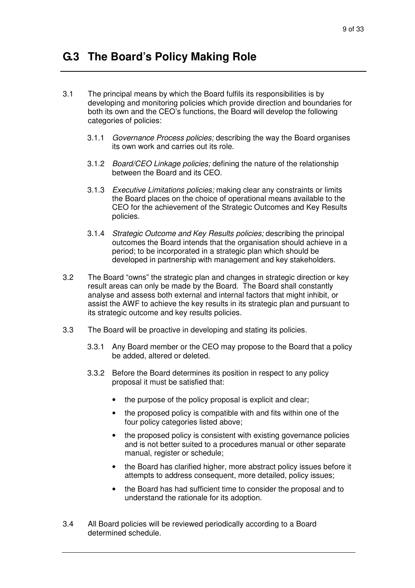### **G.3 The Board's Policy Making Role**

- 3.1 The principal means by which the Board fulfils its responsibilities is by developing and monitoring policies which provide direction and boundaries for both its own and the CEO's functions, the Board will develop the following categories of policies:
	- 3.1.1 Governance Process policies; describing the way the Board organises its own work and carries out its role.
	- 3.1.2 Board/CEO Linkage policies; defining the nature of the relationship between the Board and its CEO.
	- 3.1.3 Executive Limitations policies; making clear any constraints or limits the Board places on the choice of operational means available to the CEO for the achievement of the Strategic Outcomes and Key Results policies.
	- 3.1.4 Strategic Outcome and Key Results policies; describing the principal outcomes the Board intends that the organisation should achieve in a period; to be incorporated in a strategic plan which should be developed in partnership with management and key stakeholders.
- 3.2 The Board "owns" the strategic plan and changes in strategic direction or key result areas can only be made by the Board. The Board shall constantly analyse and assess both external and internal factors that might inhibit, or assist the AWF to achieve the key results in its strategic plan and pursuant to its strategic outcome and key results policies.
- 3.3 The Board will be proactive in developing and stating its policies.
	- 3.3.1 Any Board member or the CEO may propose to the Board that a policy be added, altered or deleted.
	- 3.3.2 Before the Board determines its position in respect to any policy proposal it must be satisfied that:
		- the purpose of the policy proposal is explicit and clear;
		- the proposed policy is compatible with and fits within one of the four policy categories listed above;
		- the proposed policy is consistent with existing governance policies and is not better suited to a procedures manual or other separate manual, register or schedule;
		- the Board has clarified higher, more abstract policy issues before it attempts to address consequent, more detailed, policy issues;
		- the Board has had sufficient time to consider the proposal and to understand the rationale for its adoption.
- 3.4 All Board policies will be reviewed periodically according to a Board determined schedule.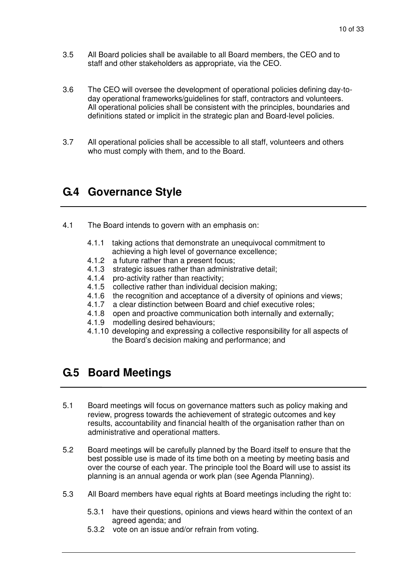- 3.5 All Board policies shall be available to all Board members, the CEO and to staff and other stakeholders as appropriate, via the CEO.
- 3.6 The CEO will oversee the development of operational policies defining day-today operational frameworks/guidelines for staff, contractors and volunteers. All operational policies shall be consistent with the principles, boundaries and definitions stated or implicit in the strategic plan and Board-level policies.
- 3.7 All operational policies shall be accessible to all staff, volunteers and others who must comply with them, and to the Board.

### **G.4 Governance Style**

- 4.1 The Board intends to govern with an emphasis on:
	- 4.1.1 taking actions that demonstrate an unequivocal commitment to achieving a high level of governance excellence;
	- 4.1.2 a future rather than a present focus;
	- 4.1.3 strategic issues rather than administrative detail;
	- 4.1.4 pro-activity rather than reactivity;
	- 4.1.5 collective rather than individual decision making;
	- 4.1.6 the recognition and acceptance of a diversity of opinions and views:
	- 4.1.7 a clear distinction between Board and chief executive roles;
	- 4.1.8 open and proactive communication both internally and externally;
	- 4.1.9 modelling desired behaviours;
	- 4.1.10 developing and expressing a collective responsibility for all aspects of the Board's decision making and performance; and

### **G.5 Board Meetings**

- 5.1 Board meetings will focus on governance matters such as policy making and review, progress towards the achievement of strategic outcomes and key results, accountability and financial health of the organisation rather than on administrative and operational matters.
- 5.2 Board meetings will be carefully planned by the Board itself to ensure that the best possible use is made of its time both on a meeting by meeting basis and over the course of each year. The principle tool the Board will use to assist its planning is an annual agenda or work plan (see Agenda Planning).
- 5.3 All Board members have equal rights at Board meetings including the right to:
	- 5.3.1 have their questions, opinions and views heard within the context of an agreed agenda; and
	- 5.3.2 vote on an issue and/or refrain from voting.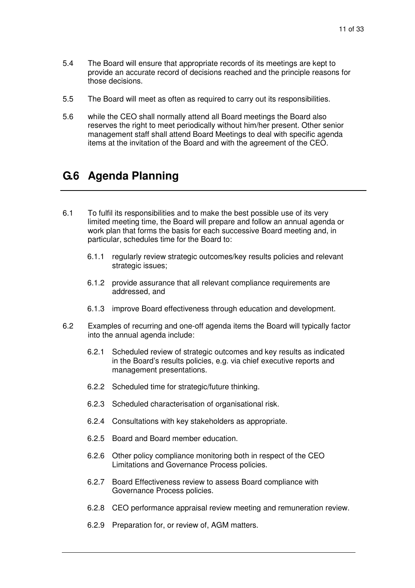- 5.4 The Board will ensure that appropriate records of its meetings are kept to provide an accurate record of decisions reached and the principle reasons for those decisions.
- 5.5 The Board will meet as often as required to carry out its responsibilities.
- 5.6 while the CEO shall normally attend all Board meetings the Board also reserves the right to meet periodically without him/her present. Other senior management staff shall attend Board Meetings to deal with specific agenda items at the invitation of the Board and with the agreement of the CEO.

### **G.6 Agenda Planning**

- 6.1 To fulfil its responsibilities and to make the best possible use of its very limited meeting time, the Board will prepare and follow an annual agenda or work plan that forms the basis for each successive Board meeting and, in particular, schedules time for the Board to:
	- 6.1.1 regularly review strategic outcomes/key results policies and relevant strategic issues:
	- 6.1.2 provide assurance that all relevant compliance requirements are addressed, and
	- 6.1.3 improve Board effectiveness through education and development.
- 6.2 Examples of recurring and one-off agenda items the Board will typically factor into the annual agenda include:
	- 6.2.1 Scheduled review of strategic outcomes and key results as indicated in the Board's results policies, e.g. via chief executive reports and management presentations.
	- 6.2.2 Scheduled time for strategic/future thinking.
	- 6.2.3 Scheduled characterisation of organisational risk.
	- 6.2.4 Consultations with key stakeholders as appropriate.
	- 6.2.5 Board and Board member education.
	- 6.2.6 Other policy compliance monitoring both in respect of the CEO Limitations and Governance Process policies.
	- 6.2.7 Board Effectiveness review to assess Board compliance with Governance Process policies.
	- 6.2.8 CEO performance appraisal review meeting and remuneration review.
	- 6.2.9 Preparation for, or review of, AGM matters.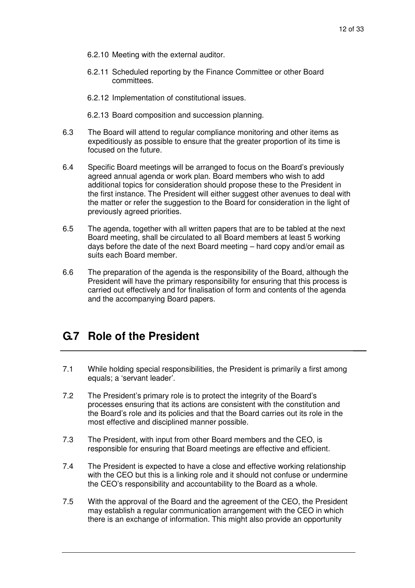- 6.2.10 Meeting with the external auditor.
- 6.2.11 Scheduled reporting by the Finance Committee or other Board committees.
- 6.2.12 Implementation of constitutional issues.
- 6.2.13 Board composition and succession planning.
- 6.3 The Board will attend to regular compliance monitoring and other items as expeditiously as possible to ensure that the greater proportion of its time is focused on the future.
- 6.4 Specific Board meetings will be arranged to focus on the Board's previously agreed annual agenda or work plan. Board members who wish to add additional topics for consideration should propose these to the President in the first instance. The President will either suggest other avenues to deal with the matter or refer the suggestion to the Board for consideration in the light of previously agreed priorities.
- 6.5 The agenda, together with all written papers that are to be tabled at the next Board meeting, shall be circulated to all Board members at least 5 working days before the date of the next Board meeting – hard copy and/or email as suits each Board member.
- 6.6 The preparation of the agenda is the responsibility of the Board, although the President will have the primary responsibility for ensuring that this process is carried out effectively and for finalisation of form and contents of the agenda and the accompanying Board papers.

### **G.7 Role of the President**

- 7.1 While holding special responsibilities, the President is primarily a first among equals; a 'servant leader'.
- 7.2 The President's primary role is to protect the integrity of the Board's processes ensuring that its actions are consistent with the constitution and the Board's role and its policies and that the Board carries out its role in the most effective and disciplined manner possible.
- 7.3 The President, with input from other Board members and the CEO, is responsible for ensuring that Board meetings are effective and efficient.
- 7.4 The President is expected to have a close and effective working relationship with the CEO but this is a linking role and it should not confuse or undermine the CEO's responsibility and accountability to the Board as a whole.
- 7.5 With the approval of the Board and the agreement of the CEO, the President may establish a regular communication arrangement with the CEO in which there is an exchange of information. This might also provide an opportunity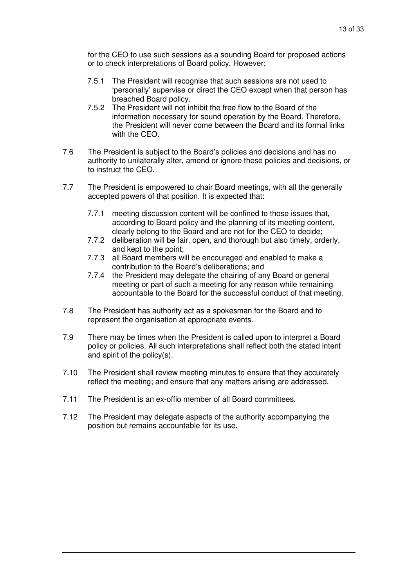for the CEO to use such sessions as a sounding Board for proposed actions or to check interpretations of Board policy. However;

- 7.5.1 The President will recognise that such sessions are not used to 'personally' supervise or direct the CEO except when that person has breached Board policy.
- 7.5.2 The President will not inhibit the free flow to the Board of the information necessary for sound operation by the Board. Therefore, the President will never come between the Board and its formal links with the CEO.
- 7.6 The President is subject to the Board's policies and decisions and has no authority to unilaterally alter, amend or ignore these policies and decisions, or to instruct the CEO.
- 7.7 The President is empowered to chair Board meetings, with all the generally accepted powers of that position. It is expected that:
	- 7.7.1 meeting discussion content will be confined to those issues that, according to Board policy and the planning of its meeting content, clearly belong to the Board and are not for the CEO to decide;
	- 7.7.2 deliberation will be fair, open, and thorough but also timely, orderly, and kept to the point;
	- 7.7.3 all Board members will be encouraged and enabled to make a contribution to the Board's deliberations; and
	- 7.7.4 the President may delegate the chairing of any Board or general meeting or part of such a meeting for any reason while remaining accountable to the Board for the successful conduct of that meeting.
- 7.8 The President has authority act as a spokesman for the Board and to represent the organisation at appropriate events.
- 7.9 There may be times when the President is called upon to interpret a Board policy or policies. All such interpretations shall reflect both the stated intent and spirit of the policy(s).
- 7.10 The President shall review meeting minutes to ensure that they accurately reflect the meeting; and ensure that any matters arising are addressed.
- 7.11 The President is an ex-offio member of all Board committees.
- 7.12 The President may delegate aspects of the authority accompanying the position but remains accountable for its use.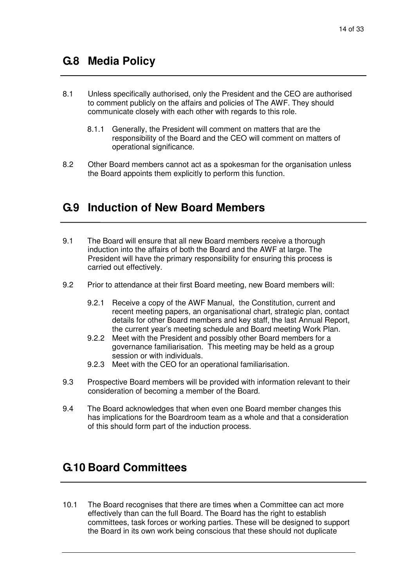### **G.8 Media Policy**

- 8.1 Unless specifically authorised, only the President and the CEO are authorised to comment publicly on the affairs and policies of The AWF. They should communicate closely with each other with regards to this role.
	- 8.1.1 Generally, the President will comment on matters that are the responsibility of the Board and the CEO will comment on matters of operational significance.
- 8.2 Other Board members cannot act as a spokesman for the organisation unless the Board appoints them explicitly to perform this function.

### **G.9 Induction of New Board Members**

- 9.1 The Board will ensure that all new Board members receive a thorough induction into the affairs of both the Board and the AWF at large. The President will have the primary responsibility for ensuring this process is carried out effectively.
- 9.2 Prior to attendance at their first Board meeting, new Board members will:
	- 9.2.1 Receive a copy of the AWF Manual, the Constitution, current and recent meeting papers, an organisational chart, strategic plan, contact details for other Board members and key staff, the last Annual Report, the current year's meeting schedule and Board meeting Work Plan.
	- 9.2.2 Meet with the President and possibly other Board members for a governance familiarisation. This meeting may be held as a group session or with individuals.
	- 9.2.3 Meet with the CEO for an operational familiarisation.
- 9.3 Prospective Board members will be provided with information relevant to their consideration of becoming a member of the Board.
- 9.4 The Board acknowledges that when even one Board member changes this has implications for the Boardroom team as a whole and that a consideration of this should form part of the induction process.

### **G.10 Board Committees**

10.1 The Board recognises that there are times when a Committee can act more effectively than can the full Board. The Board has the right to establish committees, task forces or working parties. These will be designed to support the Board in its own work being conscious that these should not duplicate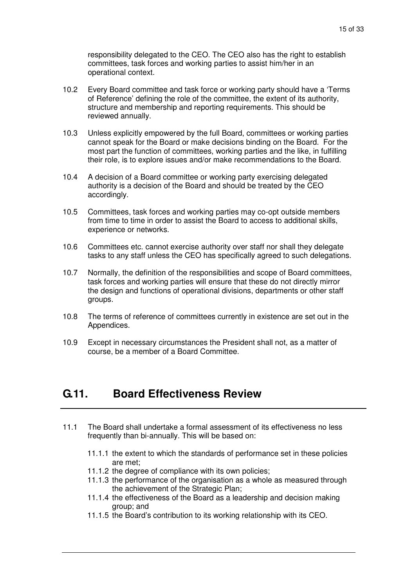responsibility delegated to the CEO. The CEO also has the right to establish committees, task forces and working parties to assist him/her in an operational context.

- 10.2 Every Board committee and task force or working party should have a 'Terms of Reference' defining the role of the committee, the extent of its authority, structure and membership and reporting requirements. This should be reviewed annually.
- 10.3 Unless explicitly empowered by the full Board, committees or working parties cannot speak for the Board or make decisions binding on the Board. For the most part the function of committees, working parties and the like, in fulfilling their role, is to explore issues and/or make recommendations to the Board.
- 10.4 A decision of a Board committee or working party exercising delegated authority is a decision of the Board and should be treated by the CEO accordingly.
- 10.5 Committees, task forces and working parties may co-opt outside members from time to time in order to assist the Board to access to additional skills, experience or networks.
- 10.6 Committees etc. cannot exercise authority over staff nor shall they delegate tasks to any staff unless the CEO has specifically agreed to such delegations.
- 10.7 Normally, the definition of the responsibilities and scope of Board committees, task forces and working parties will ensure that these do not directly mirror the design and functions of operational divisions, departments or other staff groups.
- 10.8 The terms of reference of committees currently in existence are set out in the Appendices.
- 10.9 Except in necessary circumstances the President shall not, as a matter of course, be a member of a Board Committee.

### **G.11. Board Effectiveness Review**

- 11.1 The Board shall undertake a formal assessment of its effectiveness no less frequently than bi-annually. This will be based on:
	- 11.1.1 the extent to which the standards of performance set in these policies are met;
	- 11.1.2 the degree of compliance with its own policies;
	- 11.1.3 the performance of the organisation as a whole as measured through the achievement of the Strategic Plan;
	- 11.1.4 the effectiveness of the Board as a leadership and decision making group; and
	- 11.1.5 the Board's contribution to its working relationship with its CEO.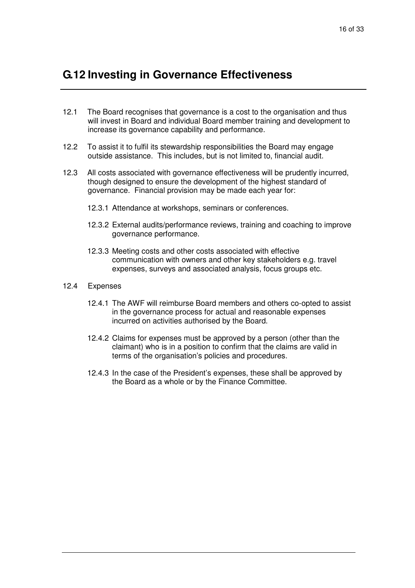### **G.12 Investing in Governance Effectiveness**

- 12.1 The Board recognises that governance is a cost to the organisation and thus will invest in Board and individual Board member training and development to increase its governance capability and performance.
- 12.2 To assist it to fulfil its stewardship responsibilities the Board may engage outside assistance. This includes, but is not limited to, financial audit.
- 12.3 All costs associated with governance effectiveness will be prudently incurred, though designed to ensure the development of the highest standard of governance. Financial provision may be made each year for:
	- 12.3.1 Attendance at workshops, seminars or conferences.
	- 12.3.2 External audits/performance reviews, training and coaching to improve governance performance.
	- 12.3.3 Meeting costs and other costs associated with effective communication with owners and other key stakeholders e.g. travel expenses, surveys and associated analysis, focus groups etc.
- 12.4 Expenses
	- 12.4.1 The AWF will reimburse Board members and others co-opted to assist in the governance process for actual and reasonable expenses incurred on activities authorised by the Board.
	- 12.4.2 Claims for expenses must be approved by a person (other than the claimant) who is in a position to confirm that the claims are valid in terms of the organisation's policies and procedures.
	- 12.4.3 In the case of the President's expenses, these shall be approved by the Board as a whole or by the Finance Committee.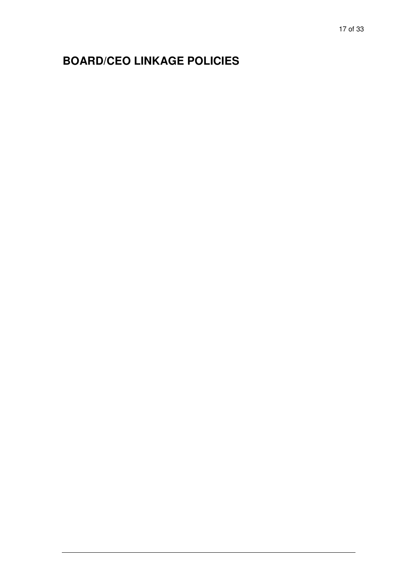# **BOARD/CEO LINKAGE POLICIES**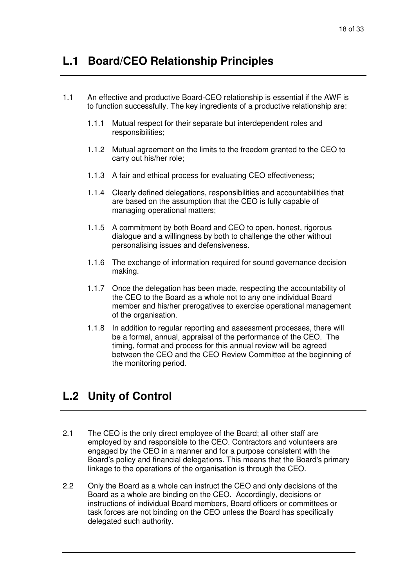### **L.1 Board/CEO Relationship Principles**

- 1.1 An effective and productive Board-CEO relationship is essential if the AWF is to function successfully. The key ingredients of a productive relationship are:
	- 1.1.1 Mutual respect for their separate but interdependent roles and responsibilities;
	- 1.1.2 Mutual agreement on the limits to the freedom granted to the CEO to carry out his/her role;
	- 1.1.3 A fair and ethical process for evaluating CEO effectiveness;
	- 1.1.4 Clearly defined delegations, responsibilities and accountabilities that are based on the assumption that the CEO is fully capable of managing operational matters;
	- 1.1.5 A commitment by both Board and CEO to open, honest, rigorous dialogue and a willingness by both to challenge the other without personalising issues and defensiveness.
	- 1.1.6 The exchange of information required for sound governance decision making.
	- 1.1.7 Once the delegation has been made, respecting the accountability of the CEO to the Board as a whole not to any one individual Board member and his/her prerogatives to exercise operational management of the organisation.
	- 1.1.8 In addition to regular reporting and assessment processes, there will be a formal, annual, appraisal of the performance of the CEO. The timing, format and process for this annual review will be agreed between the CEO and the CEO Review Committee at the beginning of the monitoring period.

### **L.2 Unity of Control**

- 2.1 The CEO is the only direct employee of the Board; all other staff are employed by and responsible to the CEO. Contractors and volunteers are engaged by the CEO in a manner and for a purpose consistent with the Board's policy and financial delegations. This means that the Board's primary linkage to the operations of the organisation is through the CEO.
- 2.2 Only the Board as a whole can instruct the CEO and only decisions of the Board as a whole are binding on the CEO. Accordingly, decisions or instructions of individual Board members, Board officers or committees or task forces are not binding on the CEO unless the Board has specifically delegated such authority.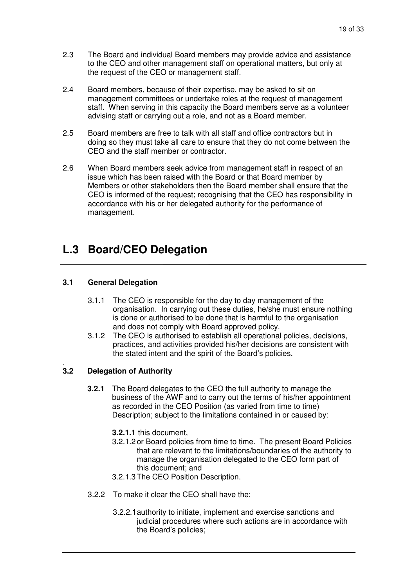- 2.3 The Board and individual Board members may provide advice and assistance to the CEO and other management staff on operational matters, but only at the request of the CEO or management staff.
- 2.4 Board members, because of their expertise, may be asked to sit on management committees or undertake roles at the request of management staff. When serving in this capacity the Board members serve as a volunteer advising staff or carrying out a role, and not as a Board member.
- 2.5 Board members are free to talk with all staff and office contractors but in doing so they must take all care to ensure that they do not come between the CEO and the staff member or contractor.
- 2.6 When Board members seek advice from management staff in respect of an issue which has been raised with the Board or that Board member by Members or other stakeholders then the Board member shall ensure that the CEO is informed of the request; recognising that the CEO has responsibility in accordance with his or her delegated authority for the performance of management.

### **L.3 Board/CEO Delegation**

#### **3.1 General Delegation**

- 3.1.1 The CEO is responsible for the day to day management of the organisation. In carrying out these duties, he/she must ensure nothing is done or authorised to be done that is harmful to the organisation and does not comply with Board approved policy.
- 3.1.2 The CEO is authorised to establish all operational policies, decisions, practices, and activities provided his/her decisions are consistent with the stated intent and the spirit of the Board's policies.

#### . **3.2 Delegation of Authority**

- **3.2.1** The Board delegates to the CEO the full authority to manage the business of the AWF and to carry out the terms of his/her appointment as recorded in the CEO Position (as varied from time to time) Description; subject to the limitations contained in or caused by:
	- **3.2.1.1** this document,
	- 3.2.1.2 or Board policies from time to time. The present Board Policies that are relevant to the limitations/boundaries of the authority to manage the organisation delegated to the CEO form part of this document; and
	- 3.2.1.3 The CEO Position Description.
- 3.2.2 To make it clear the CEO shall have the:
	- 3.2.2.1 authority to initiate, implement and exercise sanctions and judicial procedures where such actions are in accordance with the Board's policies;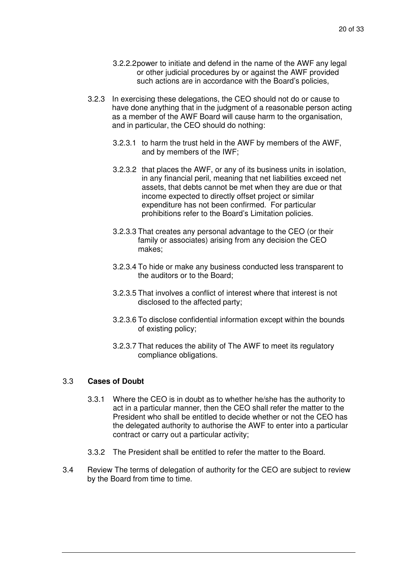- 3.2.2.2 power to initiate and defend in the name of the AWF any legal or other judicial procedures by or against the AWF provided such actions are in accordance with the Board's policies,
- 3.2.3 In exercising these delegations, the CEO should not do or cause to have done anything that in the judgment of a reasonable person acting as a member of the AWF Board will cause harm to the organisation, and in particular, the CEO should do nothing:
	- 3.2.3.1 to harm the trust held in the AWF by members of the AWF, and by members of the IWF;
	- 3.2.3.2 that places the AWF, or any of its business units in isolation, in any financial peril, meaning that net liabilities exceed net assets, that debts cannot be met when they are due or that income expected to directly offset project or similar expenditure has not been confirmed. For particular prohibitions refer to the Board's Limitation policies.
	- 3.2.3.3 That creates any personal advantage to the CEO (or their family or associates) arising from any decision the CEO makes;
	- 3.2.3.4 To hide or make any business conducted less transparent to the auditors or to the Board;
	- 3.2.3.5 That involves a conflict of interest where that interest is not disclosed to the affected party;
	- 3.2.3.6 To disclose confidential information except within the bounds of existing policy;
	- 3.2.3.7 That reduces the ability of The AWF to meet its regulatory compliance obligations.

#### 3.3 **Cases of Doubt**

- 3.3.1 Where the CEO is in doubt as to whether he/she has the authority to act in a particular manner, then the CEO shall refer the matter to the President who shall be entitled to decide whether or not the CEO has the delegated authority to authorise the AWF to enter into a particular contract or carry out a particular activity;
- 3.3.2 The President shall be entitled to refer the matter to the Board.
- 3.4 Review The terms of delegation of authority for the CEO are subject to review by the Board from time to time.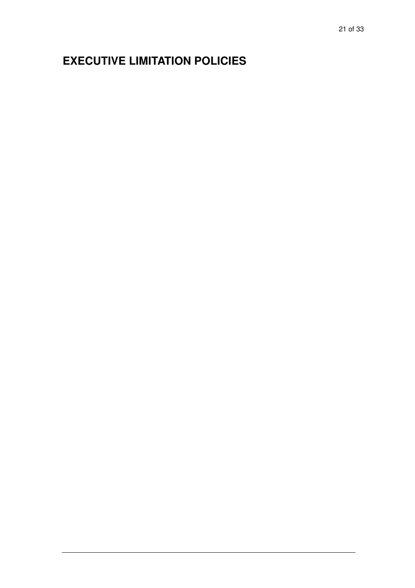# **EXECUTIVE LIMITATION POLICIES**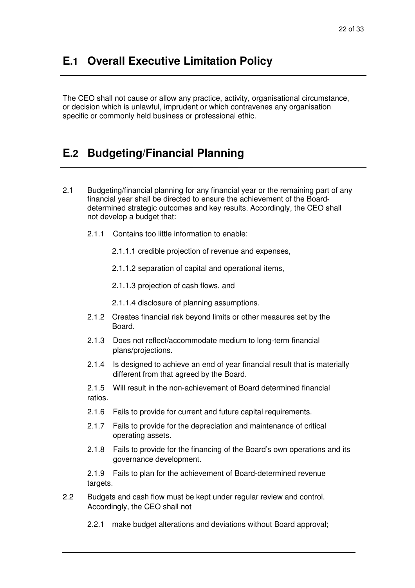### **E.1 Overall Executive Limitation Policy**

The CEO shall not cause or allow any practice, activity, organisational circumstance, or decision which is unlawful, imprudent or which contravenes any organisation specific or commonly held business or professional ethic.

### **E.2 Budgeting/Financial Planning**

- 2.1 Budgeting/financial planning for any financial year or the remaining part of any financial year shall be directed to ensure the achievement of the Boarddetermined strategic outcomes and key results. Accordingly, the CEO shall not develop a budget that:
	- 2.1.1 Contains too little information to enable:
		- 2.1.1.1 credible projection of revenue and expenses,
		- 2.1.1.2 separation of capital and operational items,
		- 2.1.1.3 projection of cash flows, and
		- 2.1.1.4 disclosure of planning assumptions.
	- 2.1.2 Creates financial risk beyond limits or other measures set by the Board.
	- 2.1.3 Does not reflect/accommodate medium to long-term financial plans/projections.
	- 2.1.4 Is designed to achieve an end of year financial result that is materially different from that agreed by the Board.

2.1.5 Will result in the non-achievement of Board determined financial ratios.

- 2.1.6 Fails to provide for current and future capital requirements.
- 2.1.7 Fails to provide for the depreciation and maintenance of critical operating assets.
- 2.1.8 Fails to provide for the financing of the Board's own operations and its governance development.

2.1.9 Fails to plan for the achievement of Board-determined revenue targets.

- 2.2 Budgets and cash flow must be kept under regular review and control. Accordingly, the CEO shall not
	- 2.2.1 make budget alterations and deviations without Board approval;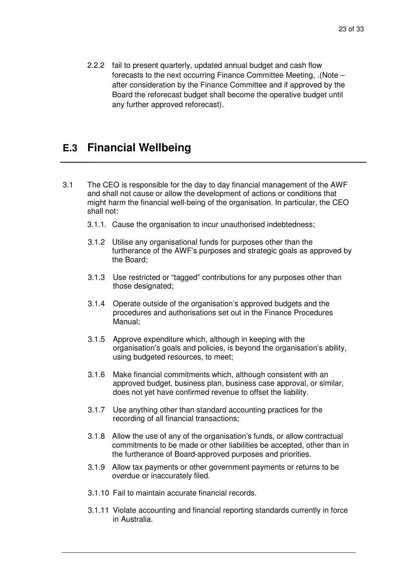2.2.2 fail to present quarterly, updated annual budget and cash flow forecasts to the next occurring Finance Committee Meeting, .(Note – after consideration by the Finance Committee and if approved by the Board the reforecast budget shall become the operative budget until any further approved reforecast).

### **E.3 Financial Wellbeing**

- 3.1 The CEO is responsible for the day to day financial management of the AWF and shall not cause or allow the development of actions or conditions that might harm the financial well-being of the organisation. In particular, the CEO shall not:
	- 3.1.1. Cause the organisation to incur unauthorised indebtedness;
	- 3.1.2 Utilise any organisational funds for purposes other than the furtherance of the AWF's purposes and strategic goals as approved by the Board;
	- 3.1.3 Use restricted or "tagged" contributions for any purposes other than those designated;
	- 3.1.4 Operate outside of the organisation's approved budgets and the procedures and authorisations set out in the Finance Procedures Manual;
	- 3.1.5 Approve expenditure which, although in keeping with the organisation's goals and policies, is beyond the organisation's ability, using budgeted resources, to meet;
	- 3.1.6 Make financial commitments which, although consistent with an approved budget, business plan, business case approval, or similar, does not yet have confirmed revenue to offset the liability.
	- 3.1.7 Use anything other than standard accounting practices for the recording of all financial transactions;
	- 3.1.8 Allow the use of any of the organisation's funds, or allow contractual commitments to be made or other liabilities be accepted, other than in the furtherance of Board-approved purposes and priorities.
	- 3.1.9 Allow tax payments or other government payments or returns to be overdue or inaccurately filed.
	- 3.1.10 Fail to maintain accurate financial records.
	- 3.1.11 Violate accounting and financial reporting standards currently in force in Australia.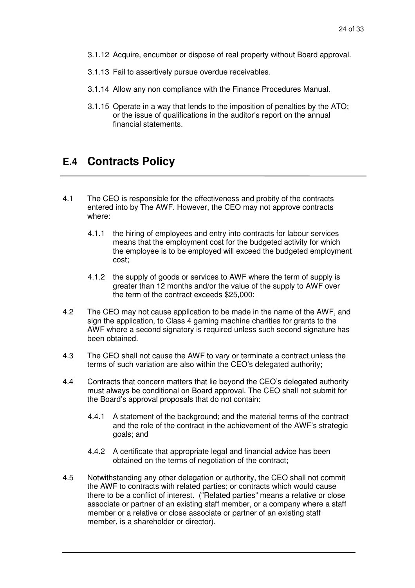- 3.1.12 Acquire, encumber or dispose of real property without Board approval.
- 3.1.13 Fail to assertively pursue overdue receivables.
- 3.1.14 Allow any non compliance with the Finance Procedures Manual.
- 3.1.15 Operate in a way that lends to the imposition of penalties by the ATO; or the issue of qualifications in the auditor's report on the annual financial statements.

### **E.4 Contracts Policy**

- 4.1 The CEO is responsible for the effectiveness and probity of the contracts entered into by The AWF. However, the CEO may not approve contracts where:
	- 4.1.1 the hiring of employees and entry into contracts for labour services means that the employment cost for the budgeted activity for which the employee is to be employed will exceed the budgeted employment cost;
	- 4.1.2 the supply of goods or services to AWF where the term of supply is greater than 12 months and/or the value of the supply to AWF over the term of the contract exceeds \$25,000;
- 4.2 The CEO may not cause application to be made in the name of the AWF, and sign the application, to Class 4 gaming machine charities for grants to the AWF where a second signatory is required unless such second signature has been obtained.
- 4.3 The CEO shall not cause the AWF to vary or terminate a contract unless the terms of such variation are also within the CEO's delegated authority;
- 4.4 Contracts that concern matters that lie beyond the CEO's delegated authority must always be conditional on Board approval. The CEO shall not submit for the Board's approval proposals that do not contain:
	- 4.4.1 A statement of the background; and the material terms of the contract and the role of the contract in the achievement of the AWF's strategic goals; and
	- 4.4.2 A certificate that appropriate legal and financial advice has been obtained on the terms of negotiation of the contract;
- 4.5 Notwithstanding any other delegation or authority, the CEO shall not commit the AWF to contracts with related parties; or contracts which would cause there to be a conflict of interest. ("Related parties" means a relative or close associate or partner of an existing staff member, or a company where a staff member or a relative or close associate or partner of an existing staff member, is a shareholder or director).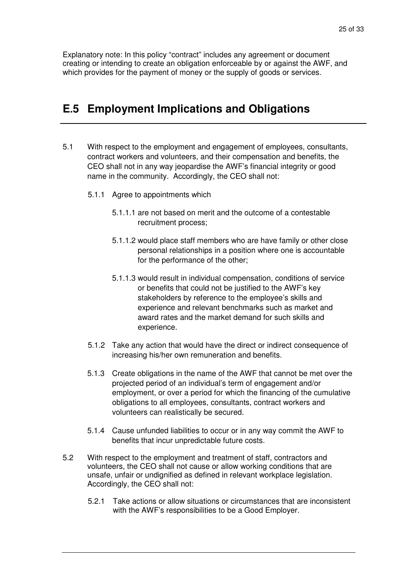Explanatory note: In this policy "contract" includes any agreement or document creating or intending to create an obligation enforceable by or against the AWF, and which provides for the payment of money or the supply of goods or services.

### **E.5 Employment Implications and Obligations**

- 5.1 With respect to the employment and engagement of employees, consultants, contract workers and volunteers, and their compensation and benefits, the CEO shall not in any way jeopardise the AWF's financial integrity or good name in the community. Accordingly, the CEO shall not:
	- 5.1.1 Agree to appointments which
		- 5.1.1.1 are not based on merit and the outcome of a contestable recruitment process;
		- 5.1.1.2 would place staff members who are have family or other close personal relationships in a position where one is accountable for the performance of the other;
		- 5.1.1.3 would result in individual compensation, conditions of service or benefits that could not be justified to the AWF's key stakeholders by reference to the employee's skills and experience and relevant benchmarks such as market and award rates and the market demand for such skills and experience.
	- 5.1.2 Take any action that would have the direct or indirect consequence of increasing his/her own remuneration and benefits.
	- 5.1.3 Create obligations in the name of the AWF that cannot be met over the projected period of an individual's term of engagement and/or employment, or over a period for which the financing of the cumulative obligations to all employees, consultants, contract workers and volunteers can realistically be secured.
	- 5.1.4 Cause unfunded liabilities to occur or in any way commit the AWF to benefits that incur unpredictable future costs.
- 5.2 With respect to the employment and treatment of staff, contractors and volunteers, the CEO shall not cause or allow working conditions that are unsafe, unfair or undignified as defined in relevant workplace legislation. Accordingly, the CEO shall not:
	- 5.2.1 Take actions or allow situations or circumstances that are inconsistent with the AWF's responsibilities to be a Good Employer.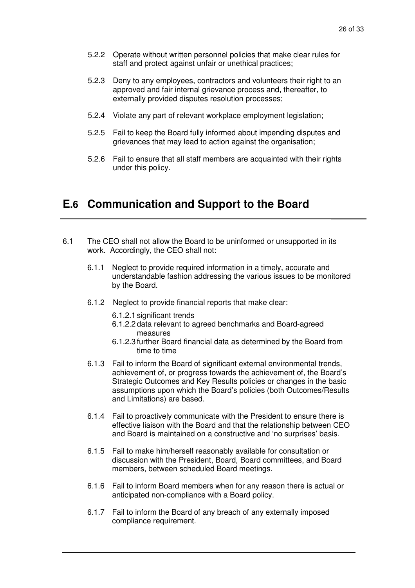- 5.2.2 Operate without written personnel policies that make clear rules for staff and protect against unfair or unethical practices;
- 5.2.3 Deny to any employees, contractors and volunteers their right to an approved and fair internal grievance process and, thereafter, to externally provided disputes resolution processes;
- 5.2.4 Violate any part of relevant workplace employment legislation;
- 5.2.5 Fail to keep the Board fully informed about impending disputes and grievances that may lead to action against the organisation;
- 5.2.6 Fail to ensure that all staff members are acquainted with their rights under this policy.

### **E.6 Communication and Support to the Board**

- 6.1 The CEO shall not allow the Board to be uninformed or unsupported in its work. Accordingly, the CEO shall not:
	- 6.1.1 Neglect to provide required information in a timely, accurate and understandable fashion addressing the various issues to be monitored by the Board.
	- 6.1.2 Neglect to provide financial reports that make clear:
		- 6.1.2.1 significant trends
		- 6.1.2.2 data relevant to agreed benchmarks and Board-agreed measures
		- 6.1.2.3 further Board financial data as determined by the Board from time to time
	- 6.1.3 Fail to inform the Board of significant external environmental trends, achievement of, or progress towards the achievement of, the Board's Strategic Outcomes and Key Results policies or changes in the basic assumptions upon which the Board's policies (both Outcomes/Results and Limitations) are based.
	- 6.1.4 Fail to proactively communicate with the President to ensure there is effective liaison with the Board and that the relationship between CEO and Board is maintained on a constructive and 'no surprises' basis.
	- 6.1.5 Fail to make him/herself reasonably available for consultation or discussion with the President, Board, Board committees, and Board members, between scheduled Board meetings.
	- 6.1.6 Fail to inform Board members when for any reason there is actual or anticipated non-compliance with a Board policy.
	- 6.1.7 Fail to inform the Board of any breach of any externally imposed compliance requirement.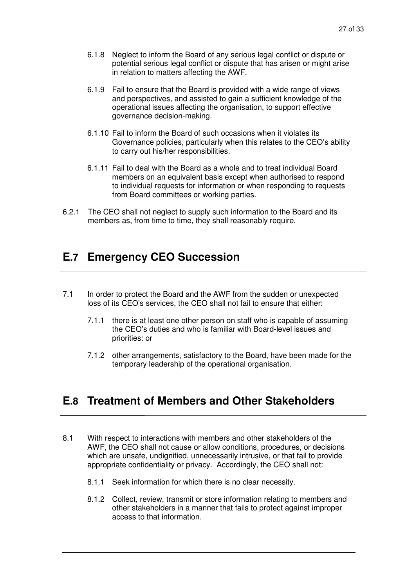- 6.1.8 Neglect to inform the Board of any serious legal conflict or dispute or potential serious legal conflict or dispute that has arisen or might arise in relation to matters affecting the AWF.
- 6.1.9 Fail to ensure that the Board is provided with a wide range of views and perspectives, and assisted to gain a sufficient knowledge of the operational issues affecting the organisation, to support effective governance decision-making.
- 6.1.10 Fail to inform the Board of such occasions when it violates its Governance policies, particularly when this relates to the CEO's ability to carry out his/her responsibilities.
- 6.1.11 Fail to deal with the Board as a whole and to treat individual Board members on an equivalent basis except when authorised to respond to individual requests for information or when responding to requests from Board committees or working parties.
- 6.2.1 The CEO shall not neglect to supply such information to the Board and its members as, from time to time, they shall reasonably require.

### **E.7 Emergency CEO Succession**

- 7.1 In order to protect the Board and the AWF from the sudden or unexpected loss of its CEO's services, the CEO shall not fail to ensure that either:
	- 7.1.1 there is at least one other person on staff who is capable of assuming the CEO's duties and who is familiar with Board-level issues and priorities: or
	- 7.1.2 other arrangements, satisfactory to the Board, have been made for the temporary leadership of the operational organisation.

### **E.8 Treatment of Members and Other Stakeholders**

- 8.1 With respect to interactions with members and other stakeholders of the AWF, the CEO shall not cause or allow conditions, procedures, or decisions which are unsafe, undignified, unnecessarily intrusive, or that fail to provide appropriate confidentiality or privacy. Accordingly, the CEO shall not:
	- 8.1.1 Seek information for which there is no clear necessity.
	- 8.1.2 Collect, review, transmit or store information relating to members and other stakeholders in a manner that fails to protect against improper access to that information.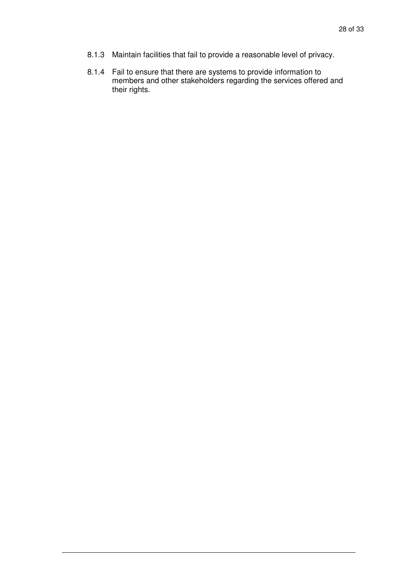- 8.1.3 Maintain facilities that fail to provide a reasonable level of privacy.
- 8.1.4 Fail to ensure that there are systems to provide information to members and other stakeholders regarding the services offered and their rights.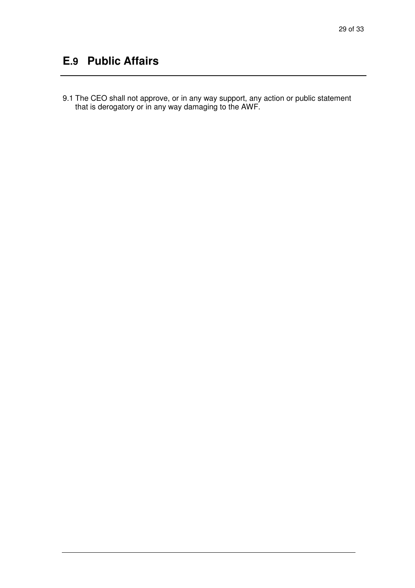# **E.9 Public Affairs**

9.1 The CEO shall not approve, or in any way support, any action or public statement that is derogatory or in any way damaging to the AWF.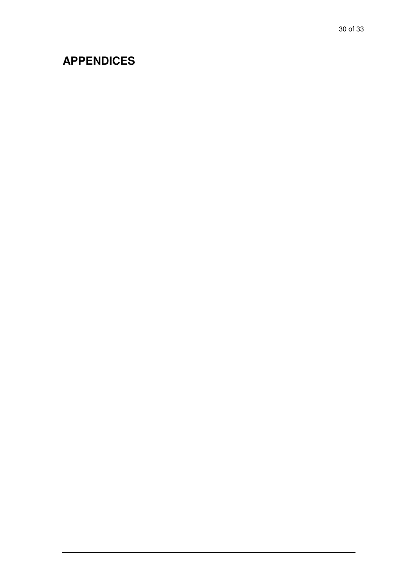# **APPENDICES**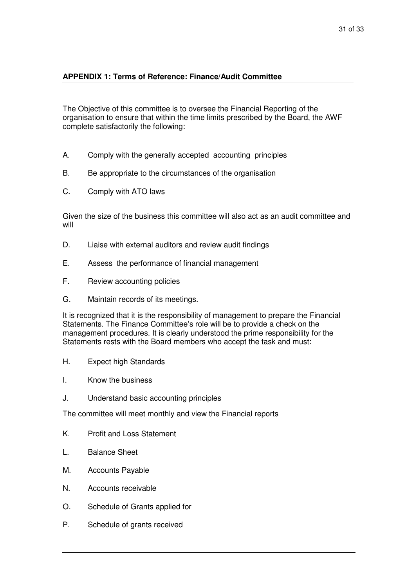#### **APPENDIX 1: Terms of Reference: Finance/Audit Committee**

The Objective of this committee is to oversee the Financial Reporting of the organisation to ensure that within the time limits prescribed by the Board, the AWF complete satisfactorily the following:

- A. Comply with the generally accepted accounting principles
- B. Be appropriate to the circumstances of the organisation
- C. Comply with ATO laws

Given the size of the business this committee will also act as an audit committee and will

- D. Liaise with external auditors and review audit findings
- E. Assess the performance of financial management
- F. Review accounting policies
- G. Maintain records of its meetings.

It is recognized that it is the responsibility of management to prepare the Financial Statements. The Finance Committee's role will be to provide a check on the management procedures. It is clearly understood the prime responsibility for the Statements rests with the Board members who accept the task and must:

- H. Expect high Standards
- I. Know the business
- J. Understand basic accounting principles

The committee will meet monthly and view the Financial reports

- K. Profit and Loss Statement
- L. Balance Sheet
- M. Accounts Payable
- N. Accounts receivable
- O. Schedule of Grants applied for
- P. Schedule of grants received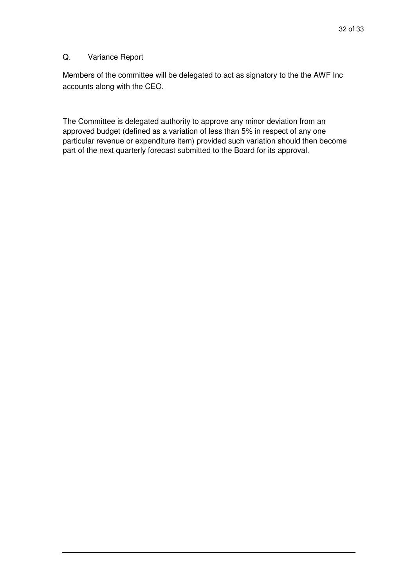#### Q. Variance Report

Members of the committee will be delegated to act as signatory to the the AWF Inc accounts along with the CEO.

The Committee is delegated authority to approve any minor deviation from an approved budget (defined as a variation of less than 5% in respect of any one particular revenue or expenditure item) provided such variation should then become part of the next quarterly forecast submitted to the Board for its approval.